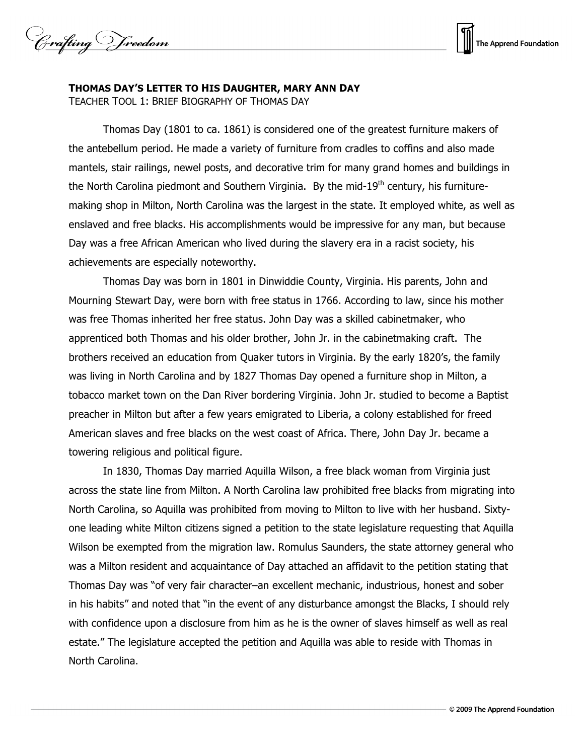Crafting Vreedom



## **THOMAS DAY'S LETTER TO HIS DAUGHTER, MARY ANN DAY**

TEACHER TOOL 1: BRIEF BIOGRAPHY OF THOMAS DAY

Thomas Day (1801 to ca. 1861) is considered one of the greatest furniture makers of the antebellum period. He made a variety of furniture from cradles to coffins and also made mantels, stair railings, newel posts, and decorative trim for many grand homes and buildings in the North Carolina piedmont and Southern Virginia. By the mid-19<sup>th</sup> century, his furnituremaking shop in Milton, North Carolina was the largest in the state. It employed white, as well as enslaved and free blacks. His accomplishments would be impressive for any man, but because Day was a free African American who lived during the slavery era in a racist society, his achievements are especially noteworthy.

Thomas Day was born in 1801 in Dinwiddie County, Virginia. His parents, John and Mourning Stewart Day, were born with free status in 1766. According to law, since his mother was free Thomas inherited her free status. John Day was a skilled cabinetmaker, who apprenticed both Thomas and his older brother, John Jr. in the cabinetmaking craft. The brothers received an education from Quaker tutors in Virginia. By the early 1820's, the family was living in North Carolina and by 1827 Thomas Day opened a furniture shop in Milton, a tobacco market town on the Dan River bordering Virginia. John Jr. studied to become a Baptist preacher in Milton but after a few years emigrated to Liberia, a colony established for freed American slaves and free blacks on the west coast of Africa. There, John Day Jr. became a towering religious and political figure.

In 1830, Thomas Day married Aquilla Wilson, a free black woman from Virginia just across the state line from Milton. A North Carolina law prohibited free blacks from migrating into North Carolina, so Aquilla was prohibited from moving to Milton to live with her husband. Sixtyone leading white Milton citizens signed a petition to the state legislature requesting that Aquilla Wilson be exempted from the migration law. Romulus Saunders, the state attorney general who was a Milton resident and acquaintance of Day attached an affidavit to the petition stating that Thomas Day was "of very fair character–an excellent mechanic, industrious, honest and sober in his habits" and noted that "in the event of any disturbance amongst the Blacks, I should rely with confidence upon a disclosure from him as he is the owner of slaves himself as well as real estate." The legislature accepted the petition and Aquilla was able to reside with Thomas in North Carolina.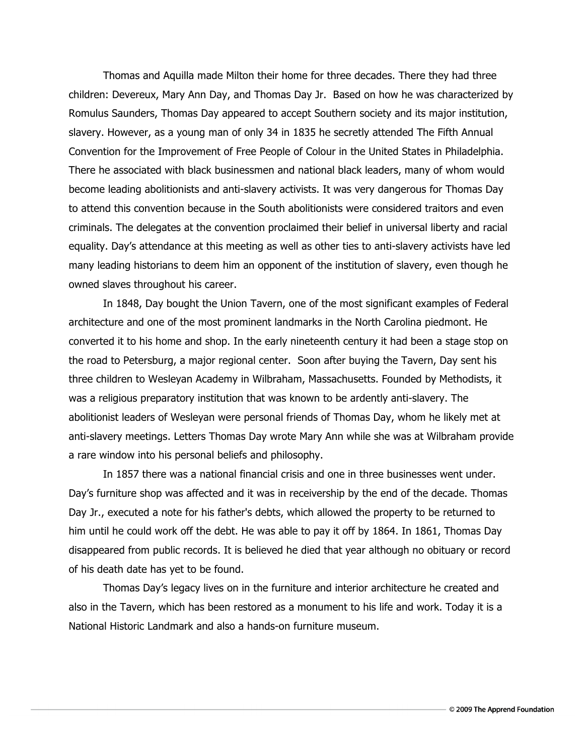Thomas and Aquilla made Milton their home for three decades. There they had three children: Devereux, Mary Ann Day, and Thomas Day Jr. Based on how he was characterized by Romulus Saunders, Thomas Day appeared to accept Southern society and its major institution, slavery. However, as a young man of only 34 in 1835 he secretly attended The Fifth Annual Convention for the Improvement of Free People of Colour in the United States in Philadelphia. There he associated with black businessmen and national black leaders, many of whom would become leading abolitionists and anti-slavery activists. It was very dangerous for Thomas Day to attend this convention because in the South abolitionists were considered traitors and even criminals. The delegates at the convention proclaimed their belief in universal liberty and racial equality. Day's attendance at this meeting as well as other ties to anti-slavery activists have led many leading historians to deem him an opponent of the institution of slavery, even though he owned slaves throughout his career.

In 1848, Day bought the Union Tavern, one of the most significant examples of Federal architecture and one of the most prominent landmarks in the North Carolina piedmont. He converted it to his home and shop. In the early nineteenth century it had been a stage stop on the road to Petersburg, a major regional center. Soon after buying the Tavern, Day sent his three children to Wesleyan Academy in Wilbraham, Massachusetts. Founded by Methodists, it was a religious preparatory institution that was known to be ardently anti-slavery. The abolitionist leaders of Wesleyan were personal friends of Thomas Day, whom he likely met at anti-slavery meetings. Letters Thomas Day wrote Mary Ann while she was at Wilbraham provide a rare window into his personal beliefs and philosophy.

In 1857 there was a national financial crisis and one in three businesses went under. Day's furniture shop was affected and it was in receivership by the end of the decade. Thomas Day Jr., executed a note for his father's debts, which allowed the property to be returned to him until he could work off the debt. He was able to pay it off by 1864. In 1861, Thomas Day disappeared from public records. It is believed he died that year although no obituary or record of his death date has yet to be found.

Thomas Day's legacy lives on in the furniture and interior architecture he created and also in the Tavern, which has been restored as a monument to his life and work. Today it is a National Historic Landmark and also a hands-on furniture museum.